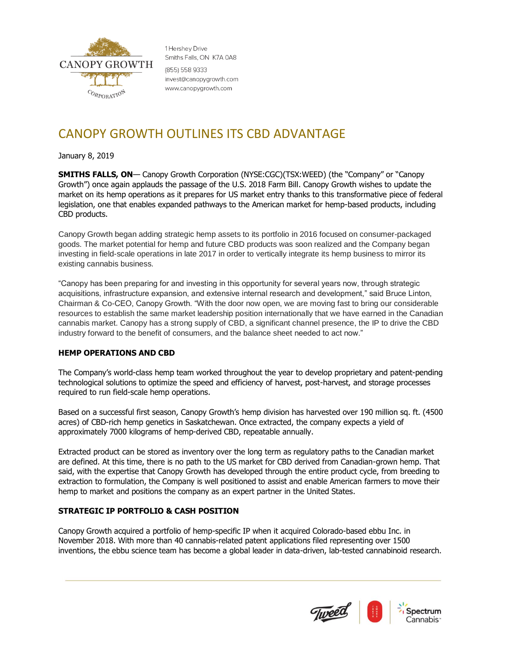

1 Hershev Drive Smiths Falls, ON K7A 0A8 (855) 558 9333 invest@canopygrowth.com www.canopygrowth.com

# CANOPY GROWTH OUTLINES ITS CBD ADVANTAGE

January 8, 2019

**SMITHS FALLS, ON**— Canopy Growth Corporation (NYSE:CGC)(TSX:WEED) (the "Company" or "Canopy Growth") once again applauds the passage of the U.S. 2018 Farm Bill. Canopy Growth wishes to update the market on its hemp operations as it prepares for US market entry thanks to this transformative piece of federal legislation, one that enables expanded pathways to the American market for hemp-based products, including CBD products.

Canopy Growth began adding strategic hemp assets to its portfolio in 2016 focused on consumer-packaged goods. The market potential for hemp and future CBD products was soon realized and the Company began investing in field-scale operations in late 2017 in order to vertically integrate its hemp business to mirror its existing cannabis business.

"Canopy has been preparing for and investing in this opportunity for several years now, through strategic acquisitions, infrastructure expansion, and extensive internal research and development," said Bruce Linton, Chairman & Co-CEO, Canopy Growth. "With the door now open, we are moving fast to bring our considerable resources to establish the same market leadership position internationally that we have earned in the Canadian cannabis market. Canopy has a strong supply of CBD, a significant channel presence, the IP to drive the CBD industry forward to the benefit of consumers, and the balance sheet needed to act now."

## **HEMP OPERATIONS AND CBD**

The Company's world-class hemp team worked throughout the year to develop proprietary and patent-pending technological solutions to optimize the speed and efficiency of harvest, post-harvest, and storage processes required to run field-scale hemp operations.

Based on a successful first season, Canopy Growth's hemp division has harvested over 190 million sq. ft. (4500 acres) of CBD-rich hemp genetics in Saskatchewan. Once extracted, the company expects a yield of approximately 7000 kilograms of hemp-derived CBD, repeatable annually.

Extracted product can be stored as inventory over the long term as regulatory paths to the Canadian market are defined. At this time, there is no path to the US market for CBD derived from Canadian-grown hemp. That said, with the expertise that Canopy Growth has developed through the entire product cycle, from breeding to extraction to formulation, the Company is well positioned to assist and enable American farmers to move their hemp to market and positions the company as an expert partner in the United States.

## **STRATEGIC IP PORTFOLIO & CASH POSITION**

Canopy Growth acquired a portfolio of hemp-specific IP when it acquired Colorado-based ebbu Inc. in November 2018. With more than 40 cannabis-related patent applications filed representing over 1500 inventions, the ebbu science team has become a global leader in data-driven, lab-tested cannabinoid research.

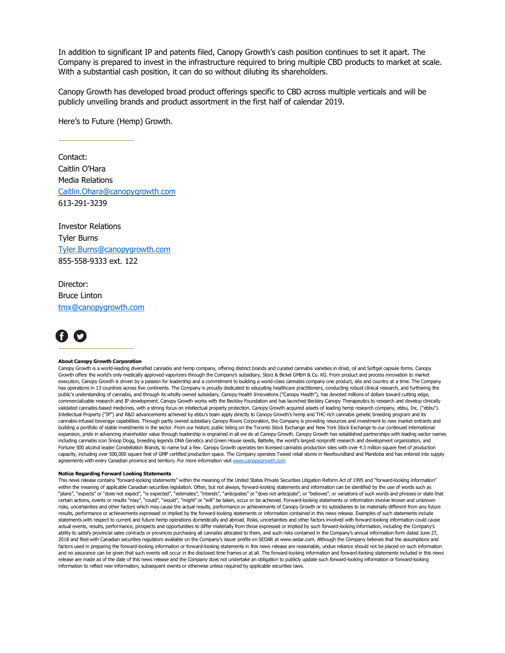In addition to significant IP and patents filed, Canopy Growth's cash position continues to set it apart. The Company is prepared to invest in the infrastructure required to bring multiple CBD products to market at scale. With a substantial cash position, it can do so without diluting its shareholders.

Canopy Growth has developed broad product offerings specific to CBD across multiple verticals and will be publicly unveiling brands and product assortment in the first half of calendar 2019.

Here's to Future (Hemp) Growth.

Contact: Caitlin O'Hara Media Relations [Caitlin.Ohara@canopygrowth.com](mailto:Caitlin.Ohara@canopygrowth.com) 613-291-3239

Investor Relations Tyler Burns [Tyler.Burns@canopygrowth.com](mailto:Tyler.Burns@canopygrowth.com) 855-558-9333 ext. 122

Director: Bruce Linton [tmx@canopygrowth.com](mailto:tmx@canopygrowth.com)



#### **About Canopy Growth Corporation**

Canopy Growth is a world-leading diversified cannabis and hemp company, offering distinct brands and curated cannabis varieties in dried, oil and Softgel capsule forms. Canopy Growth offers the world's only medically approved vaporizers through the Company's subsidiary, Storz & Bickel GMbH & Co. KG. From product and process innovation to market execution, Canopy Growth is driven by a passion for leadership and a commitment to building a world-class cannabis company one product, site and country at a time. The Company has operations in 13 countries across five continents. The Company is proudly dedicated to educating healthcare practitioners, conducting robust clinical research, and furthering the public's understanding of cannabis, and through its wholly owned subsidiary, Canopy Health Innovations ("Canopy Health"), has devoted millions of dollars toward cutting edge, commercializable research and IP development. Canopy Growth works with the Beckley Foundation and has launched Beckley Canopy Therapeutics to research and develop clinically validated cannabis-based medicines, with a strong focus on intellectual property protection. Canopy Growth acquired assets of leading hemp research company, ebbu, Inc. ("ebbu"). Intellectual Property ("IP") and R&D advancements achieved by ebbu's team apply directly to Canopy Growth's hemp and THC-rich cannabis genetic breeding program and its cannabis-infused beverage capabilities. Through partly owned subsidiary Canopy Rivers Corporation, the Company is providing resources and investment to new market entrants and building a portfolio of stable investments in the sector. From our historic public listing on the Toronto Stock Exchange and New York Stock Exchange to our continued international expansion, pride in advancing shareholder value through leadership is engrained in all we do at Canopy Growth. Canopy Growth has established partnerships with leading sector names including cannabis icon Snoop Dogg, breeding legends DNA Genetics and Green House seeds, Battelle, the world's largest nonprofit research and development organization, and Fortune 500 alcohol leader Constellation Brands, to name but a few. Canopy Growth operates ten licensed cannabis production sites with over 4.3 million square feet of production capacity, including over 500,000 square feet of GMP certified production space. The Company operates Tweed retail stores in Newfoundland and Manitoba and has entered into supply agreements with every Canadian province and territory. For more information visi[t www.canopygrowth.com](http://www.canopygrowth.com/)

#### **Notice Regarding Forward Looking Statements**

This news release contains "forward-looking statements" within the meaning of the United States Private Securities Litigation Reform Act of 1995 and "forward-looking information" within the meaning of applicable Canadian securities legislation. Often, but not always, forward-looking statements and information can be identified by the use of words such as "plans", "expects" or "does not expect", "is expected", "estimates", "intends", "anticipates" or "does not anticipate", or "believes", or variations of such words and phrases or state that certain actions, events or results "may", "could", "would", "might" or "will" be taken, occur or be achieved. Forward-looking statements or information involve known and unknown risks, uncertainties and other factors which may cause the actual results, performance or achievements of Canopy Growth or its subsidiaries to be materially different from any future results, performance or achievements expressed or implied by the forward-looking statements or information contained in this news release. Examples of such statements include statements with respect to current and future hemp operations domestically and abroad. Risks, uncertainties and other factors involved with forward-looking information could cause actual events, results, performance, prospects and opportunities to differ materially from those expressed or implied by such forward-looking information, including the Company's ability to satisfy provincial sales contracts or provinces purchasing all cannabis allocated to them, and such risks contained in the Company's annual information form dated June 27, 2018 and filed with Canadian securities regulators available on the Company's issuer profile on SEDAR at www.sedar.com. Although the Company believes that the assumptions and factors used in preparing the forward-looking information or forward-looking statements in this news release are reasonable, undue reliance should not be placed on such information and no assurance can be given that such events will occur in the disclosed time frames or at all. The forward-looking information and forward-looking statements included in this news release are made as of the date of this news release and the Company does not undertake an obligation to publicly update such forward-looking information or forward-looking information to reflect new information, subsequent events or otherwise unless required by applicable securities laws.